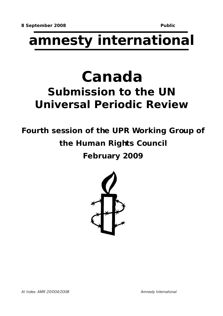# **amnesty international**

## **Canada Submission to the UN Universal Periodic Review**

### **Fourth session of the UPR Working Group of the Human Rights Council February 2009**

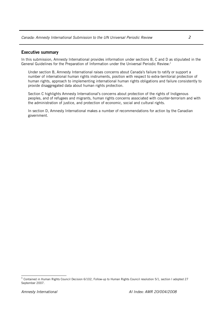#### Executive summary

In this submission, Amnesty International provides information under sections B, C and D as stipulated in the General Guidelines for the Preparation of Information under the Universal Periodic Review:<sup>[1](#page-1-0)</sup>

Under section B, Amnesty International raises concerns about Canada's failure to ratify or support a number of international human rights instruments, position with respect to extra-territorial protection of human rights, approach to implementing international human rights obligations and failure consistently to provide disaggregated data about human rights protection.

Section C highlights Amnesty International's concerns about protection of the rights of Indigenous peoples, and of refugees and migrants, human rights concerns associated with counter-terrorism and with the administration of justice, and protection of economic, social and cultural rights.

In section D, Amnesty International makes a number of recommendations for action by the Canadian government.

<span id="page-1-0"></span><sup>&</sup>lt;sup>1</sup> Contained in Human Rights Council Decision 6/102, Follow-up to Human Rights Council resolution 5/1, section I adopted 27 September 2007.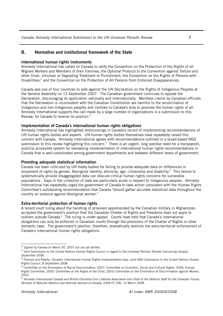#### B. Normative and institutional framework of the State

#### International human rights instruments

Amnesty International has called on Canada to ratify the Convention on the Protection of the Rights of all Migrant Workers and Members of their Families; the Optional Protocol to the Convention against Torture and other Cruel, Inhuman or Degrading Treatment or Punishment; the Convention on the Rights of Persons with Disabilities;<sup>[2](#page-2-0)</sup> and the Convention on the Protection of All Persons from Enforced Disappearances.

Canada was one of four countries to vote against the UN Declaration on the Rights of Indigenous Peoples at the General Assembly on 13 September 2007. The Canadian government continues to oppose the Declaration, discouraging its application nationally and internationally. Meritless claims by Canadian officials that the Declaration is inconsistent with the Canadian Constitution are harmful to the reconciliation of Indigenous and non-Indigenous peoples and contrary to Canada's duty to promote the human rights of all. Amnesty International supports the call made by a large number of organizations in a submission to this Review, for Canada to reverse its position. [3](#page-2-1)

#### Implementation of Canada's international human rights obligations

Amnesty International has highlighted shortcomings in Canada's record of implementing recommendations of UN human rights bodies and experts. UN human rights bodies themselves have repeatedly raised this concern with Canada. Amnesty International agrees with recommendations outlined in a broad-based NGO submission to this review highlighting this concern.<sup>[4](#page-2-2)</sup> There is an urgent, long overdue need for a transparent, publicly accessible system for overseeing implementation of international human rights recommendations in Canada that is well-coordinated among government departments and between different levels of government.

#### Providing adequate statistical information

Canada has been criticized by UN treaty bodies for failing to provide adequate data on differences in enjoyment of rights by gender, Aboriginal identity, ethnicity, age, citizenship and disability.<sup>[5](#page-2-3)</sup> This failure to systematically provide disaggregated data can obscure critical human rights concerns for vulnerable populations. Gaps in the collection of data are particularly acute in respect to Indigenous peoples. Amnesty International has repeatedly urged the government of Canada to take action consistent with the Human Rights Committee's outstanding recommendation that Canada "should gather accurate statistical data throughout the country on violence against Aboriginal women."

#### Extra-territorial protection of human rights

A recent court ruling about the handling of prisoners apprehended by the Canadian military in Afghanistan, accepted the government's position that the Canadian Charter of Rights and Freedoms does not apply to soldiers outside Canada.<sup>[6](#page-2-4)</sup> The ruling is under appeal. Courts have held that Canada's international obligations can only be enforced in Canadian courts through the provisions of the Charter of Rights or other domestic laws. The government's position, therefore, dramatically restricts the extra-territorial enforcement of Canada's international human rights obligations.

<span id="page-2-0"></span> $2$  Signed by Canada on March 30, 2007 but not yet ratified.

<span id="page-2-1"></span> $3$  Joint Submission to the United Nations Human Rights Council in regard to the Universal Periodic Review Concerning Canada, September 2008.

<span id="page-2-2"></span><sup>&</sup>lt;sup>4</sup> Promise and Reality: Canada's International Human Rights Implementation Gap, Joint NGO Submission to the United Nations Human Rights Council, 8 September 2008.

<span id="page-2-3"></span><sup>&</sup>lt;sup>5</sup> Committee on the Elimination of Racial Discrimination, 2007; Committee on Economic, Social and Cultural Rights, 2006; Human Rights Committee, 2005; Committee on the Rights of the Child, 2003; Committee on the Elimination of Discrimination against Women, 2002.

<span id="page-2-4"></span><sup>&</sup>lt;sup>6</sup> Amnesty International Canada and British Columbia Civil Liberties Association and Chief of the Defence Staff for the Canadian Forces, Minister of National Defence and Attorney General of Canada, 2008 FC 336, 12 March 2008.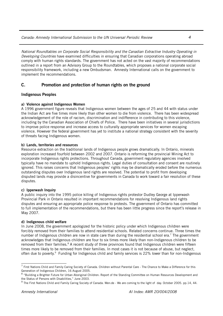Canada: Amnesty International Submission to the UN Universal Periodic Review 4

National Roundtables on Corporate Social Responsibility and the Canadian Extractive Industry Operating in Developing Countries have examined difficulties in ensuring that Canadian corporations operating abroad comply with human rights standards. The government has not acted on the vast majority of recommendations outlined in a report from an Advisory Group to the Roundtables, which proposes a national corporate social responsibility framework, including a new Ombudsman. Amnesty International calls on the government to implement the recommendations.

#### C. Promotion and protection of human rights on the ground

#### Indigenous Peoples

#### a) Violence against Indigenous Women

A 1996 government figure reveals that Indigenous women between the ages of 25 and 44 with status under the Indian Act are five times more likely than other women to die from violence. There has been widespread acknowledgement of the role of racism, discrimination and indifference in contributing to this violence, including by the Canadian Association of Chiefs of Police. There have been initiatives in several jurisdictions to improve police response and increase access to culturally appropriate services for women escaping violence. However the federal government has yet to institute a national strategy consistent with the severity of threats facing Indigenous women.

#### b) Lands, territories and resources

Resource extraction on the traditional lands of Indigenous people grows dramatically. In Ontario, minerals exploration increased fourfold between 2002 and 2007. Ontario is reforming the provincial Mining Act to incorporate Indigenous rights protections. Throughout Canada, government regulatory agencies involved typically have no mandate to uphold Indigenous rights. Legal duties of consultation and consent are routinely ignored. This raises concerns that Indigenous peoples' rights may be dramatically eroded before the numerous outstanding disputes over Indigenous land rights are resolved. The potential to profit from developing disputed lands may provide a disincentive for governments in Canada to work toward a fair resolution of these disputes.

#### c) Ipperwash Inquiry

A public inquiry into the 1995 police killing of Indigenous rights protestor Dudley George at Ipperwash Provincial Park in Ontario resulted in important recommendations for resolving Indigenous land rights disputes and ensuring an appropriate police response to protests. The government of Ontario has committed to full implementation of the recommendations, but there has been little progress since the report's release in May 2007.

#### d) Indigenous child welfare

In June 2008, the government apologized for the historic policy under which Indigenous children were forcibly removed from their families to attend residential schools. Related concerns continue. Three times the number of Indigenous children are now in state care than during the residential school era.<sup>[7](#page-3-0)</sup> The government acknowledges that Indigenous children are four to six times more likely than non-Indigenous children to be removed from their families.<sup>[8](#page-3-1)</sup> A recent study of three provinces found that Indigenous children were fifteen times more likely to be removed from their families. In most cases it is not because of abuse, but neglect, often due to poverty.<sup>[9](#page-3-2)</sup> Funding for Indigenous child and family services is 22% lower than for non-Indigenous

<span id="page-3-0"></span><sup>&</sup>lt;sup>7</sup> First Nations Child and Family Caring Society of Canada. Children without Parental Care - The Chance to Make a Difference for this Generation of Indigenous Children, 16 August 2005.

<span id="page-3-1"></span><sup>&</sup>lt;sup>8</sup> "Building a Brighter Future for Urban Aboriginal Children: Report of the Standing Committee on Human Resources Development and the Status of Persons with Disabilities," June 2003.

<span id="page-3-2"></span> $^9$  The First Nations Child and Family Caring Society of Canada. Wen:de - We are coming to the light of day. October 2005. pp.14, 44.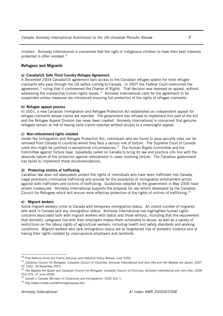children. Amnesty International is concerned that the right of Indigenous children to have their best interests protected is often violated.[10](#page-4-0)

#### Refugees and Migrants

#### a) Canada/US Safe Third Country Refugee Agreement

A December 2004 Canada/US agreement bars access to the Canadian refugee system for most refugee claimants who pass through the US before coming to Canada. In 2007 the Federal Court overturned the agreement,<sup>[11](#page-4-1)</sup> ruling that it contravened the Charter of Rights. That decision was reversed on appeal, without addressing the substantive human rights issues.<sup>[12](#page-4-2)</sup> Amnesty International calls for the agreement to be suspended unless measures are introduced ensuring full protection of the rights of refugee claimants.

#### b) Refugee appeal process

In 2001, a new Canadian Immigration and Refugee Protection Act established an independent appeal for refugee claimants whose claims are rejected. The government has refused to implement this part of the Act and the Refugee Appeal Division has never been created. Amnesty International is concerned that genuine refugees remain at risk of having valid claims rejected without access to a meaningful appeal.

#### c) Non-refoulement rights violated

Under the Immigration and Refugee Protection Act, individuals who are found to pose security risks can be removed from Canada to countries where they face a serious risk of torture. The Supreme Court of Canada ruled this might be justified in exceptional circumstances.<sup>[13](#page-4-3)</sup> The Human Rights Committee and the Committee against Torture have repeatedly called on Canada to bring its law and practice into line with the absolute nature of the protection against refoulement in cases involving torture. The Canadian government has failed to implement those recommendations.

#### d) Protecting victims of trafficking

Canadian law does not adequately protect the rights of individuals who have been trafficked into Canada. Legal provisions criminalize trafficking and provide for the possibility of immigration enforcement action against both traffickers and victims of trafficking. Guidelines adopted by the government in May 2006 have proven inadequate Amnesty International supports the proposal for law reform developed by the Canadian Council for Refugees which will ensure more effective protection of the rights of victims of trafficking.<sup>[14](#page-4-4)</sup>

#### e) Migrant workers

Some migrant workers come to Canada with temporary immigration status. An untold number of migrants who work in Canada lack any immigration status. Amnesty International has highlighted human rights concerns associated both with migrant workers with status and those without, including that the requirement that domestic caregivers live with their employers makes them vulnerable to abuse; as well as a variety of restrictions on the labour rights of agricultural workers, including health and safety standards and working conditions. Migrant workers who lack immigration status are at heightened risk of domestic violence and of having their rights violated by unscrupulous employers and landlords.

<span id="page-4-0"></span><sup>&</sup>lt;sup>10</sup> First Nations Child and Family Services Joint National Policy Review, June 2000.

<span id="page-4-1"></span><sup>&</sup>lt;sup>11</sup> Canadian Council for Refugees, Canadian Council of Churches, Amnesty International and John Doe and Her Majesty the Queen, 2007 FC 1262, 29 November 2007.

<span id="page-4-2"></span> $12$  Her Maiesty the Queen and Canadian Council for Refugees, Canadian Council of Churches, Amnesty International and John Doe, 2008 FCA 229, 27 June 2008.

<span id="page-4-3"></span> $^{13}$  Suresh v. Canada [\(Minister of Citizenship and](http://scc.lexum.umontreal.ca/en/2002/2002scc1/2002scc1.html) Immigration), 2002 SCC 1.

<span id="page-4-4"></span><sup>&</sup>lt;sup>14</sup> http://www.ccrweb.ca/trafficking/proposal.htm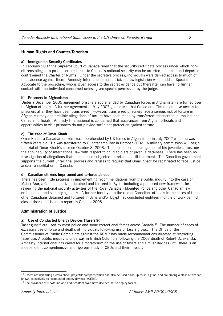#### Human Rights and Counter-Terrorism

#### a) Immigration Security Certificates

In February 2007 the Supreme Court of Canada ruled that the security certificate process under which noncitizens alleged to pose a serious threat to Canada's national security can be arrested, detained and deported, contravened the Charter of Rights. Under the secretive process, individuals were denied access to much of the evidence against them. Amnesty International has criticized new legislation which adds a Special Advocate to the procedure, who is given access to the secret evidence but thereafter can have no further contact with the individual concerned unless given special permission by the judge.

#### b) Prisoners in Afghanistan

Under a December 2005 agreement prisoners apprehended by Canadian forces in Afghanistan are turned over to Afghan officials. A further agreement in May 2007 guarantees that Canadian officials can have access to prisoners after they have been transferred. However, transferred prisoners face a serious risk of torture in Afghan custody and credible allegations of torture have been made by transferred prisoners to journalists and Canadian officials. Amnesty International is concerned that assurances from Afghan officials and opportunities to visit prisoners do not provide sufficient protection against torture.

#### c) The case of Omar Khadr

Omar Khadr, a Canadian citizen, was apprehended by US forces in Afghanistan in July 2002 when he was fifteen years old. He was transferred to Guantánamo Bay in October 2002. A military commission will begin the trial of Omar Khadr's case on October 8, 2008. There has been no recognition of his juvenile status, nor the applicability of international law with respect to child soldiers or juvenile detainees. There has been no investigation of allegations that he has been subjected to torture and ill-treatment. The Canadian government supports the current unfair trial process and refuses to request that Omar Khadr be repatriated to face justice and/or rehabilitation in Canada.

#### d) Canadian citizens imprisoned and tortured abroad

There has been little progress in implementing recommendations from the public inquiry into the case of Maher Arar, a Canadian citizen detained and tortured in Syria, including a proposed new framework for reviewing the national security activities of the Royal Canadian Mounted Police and other Canadian law enforcement and security agencies. A further inquiry into the role of Canadian officials in the cases of three other Canadians detained and tortured in Syria and/or Egypt has concluded eighteen months of work behind closed doors and is set to report in October 2008.

#### Administration of Justice

#### a) Use of Conducted Energy Devices (Tasers**®)**

Taser guns<sup>[15](#page-5-0)</sup> are used by most police and some correctional forces across Canada.<sup>[16](#page-5-1)</sup> The number of cases of excessive use of force and deaths of individuals following use of tasers grows. The Office of the Commissioner of Public Complaints against the RCMP has made recommendations directed at restricting taser use. A public inquiry is underway in British Columbia following the 2007 death of Robert Dziekanski. Amnesty International has called for a moratorium on the use of tasers and similar devices until there is an independent, comprehensive and rigorous study of CEDs and their impact.

<span id="page-5-0"></span><sup>&</sup>lt;sup>15</sup> Tasers are dart-firing electro-shock projectile weapons which can also be used close-up as stun guns, and are among a class of weapon known collectively as "conducted energy devices" (CEDs).

<span id="page-5-1"></span><sup>&</sup>lt;sup>16</sup> The provinces of Newfoundland and Sasktachewan have decided not to deploy tasers.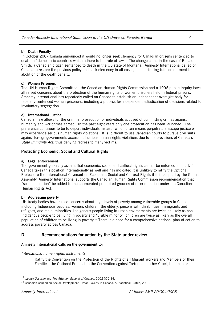#### b) Death Penalty

In October 2007 Canada announced it would no longer seek clemency for Canadian citizens sentenced to death in "democratic countries which adhere to the rule of law." The change came in the case of Ronald Smith, a Canadian citizen sentenced to death in the US state of Montana. Amnesty International called on Canada to restore the previous policy and seek clemency in all cases, demonstrating full commitment to abolition of the death penalty.

#### c) Women Prisoners

The UN Human Rights Committee , the Canadian Human Rights Commission and a 1996 public inquiry have all raised concerns about the protection of the human rights of women prisoners held in federal prisons. Amnesty International has repeatedly called on Canada to establish an independent oversight body for federally-sentenced women prisoners, including a process for independent adjudication of decisions related to involuntary segregation.

#### d) International Justice

Canadian law allows for the criminal prosecution of individuals accused of committing crimes against humanity and war crimes abroad. In the past eight years only one prosecution has been launched. The preference continues to be to deport individuals instead, which often means perpetrators escape justice or may experience serious human rights violations. It is difficult to use Canadian courts to pursue civil suits against foreign governments accused of serious human rights violations due to the provisions of Canada's State Immunity Act, thus denying redress to many victims.

#### Protecting Economic, Social and Cultural Rights

#### a) Legal enforcement

The government generally asserts that economic, social and cultural rights cannot be enforced in court.<sup>[17](#page-6-0)</sup> Canada takes this position internationally as well and has indicated it is unlikely to ratify the Optional Protocol to the International Covenant on Economic, Social and Cultural Rights if it is adopted by the General Assembly. Amnesty International supports the Canadian Human Rights Commission recommendation that "social condition" be added to the enumerated prohibited grounds of discrimination under the Canadian Human Rights Act.

#### b) Addressing poverty

UN treaty bodies have raised concerns about high levels of poverty among vulnerable groups in Canada, including Indigenous peoples, women, children, the elderly, persons with disabilities, immigrants and refugees, and racial minorities. Indigenous people living in urban environments are twice as likely as non-Indigenous people to be living in poverty and "visible minority" children are twice as likely as the overall population of children to be living in poverty.<sup>[18](#page-6-1)</sup> There is a need for a comprehensive national plan of action to address poverty across Canada.

#### D. Recommendations for action by the State under review

#### Amnesty International calls on the government to:

#### International human rights instruments

Ratify the Convention on the Protection of the Rights of all Migrant Workers and Members of their Families; the Optional Protocol to the Convention against Torture and other Cruel, Inhuman or

<span id="page-6-0"></span> $17$  Louise Gosselin and The Attorney General of Quebec, 2002 SCC 84.

<span id="page-6-1"></span><sup>&</sup>lt;sup>18</sup> Canadian Council on Social Development, Urban Poverty in Canada: A Statistical Profile, 2000.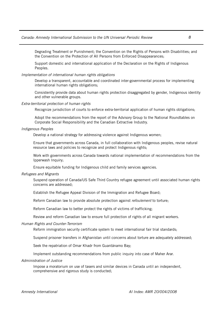Degrading Treatment or Punishment; the Convention on the Rights of Persons with Disabilities; and the Convention on the Protection of All Persons from Enforced Disappearances;

Support domestic and international application of the Declaration on the Rights of Indigenous Peoples.

#### Implementation of international human rights obligations

Develop a transparent, accountable and coordinated inter-governmental process for implementing international human rights obligations;

Consistently provide data about human rights protection disaggregated by gender, Indigenous identity and other vulnerable groups.

#### Extra-territorial protection of human rights

Recognize jurisdiction of courts to enforce extra-territorial application of human rights obligations;

Adopt the recommendations from the report of the Advisory Group to the National Roundtables on Corporate Social Responsibility and the Canadian Extractive Industry.

#### Indigenous Peoples

Develop a national strategy for addressing violence against Indigenous women;

Ensure that governments across Canada, in full collaboration with Indigenous peoples, revise natural resource laws and policies to recognize and protect Indigenous rights;

Work with governments across Canada towards national implementation of recommendations from the Ipperwash Inquiry;

Ensure equitable funding for Indigenous child and family services agencies.

#### Refugees and Migrants

Suspend operation of Canada/US Safe Third Country refugee agreement until associated human rights concerns are addressed;

Establish the Refugee Appeal Division of the Immigration and Refugee Board;

Reform Canadian law to provide absolute protection against refoulement to torture;

Reform Canadian law to better protect the rights of victims of trafficking;

Review and reform Canadian law to ensure full protection of rights of all migrant workers.

#### Human Rights and Counter-Terrorism

Reform immigration security certificate system to meet international fair trial standards;

Suspend prisoner transfers in Afghanistan until concerns about torture are adequately addressed;

Seek the repatriation of Omar Khadr from Guantánamo Bay;

Implement outstanding recommendations from public inquiry into case of Maher Arar.

#### Administration of Justice

Impose a moratorium on use of tasers and similar devices in Canada until an independent, comprehensive and rigorous study is conducted;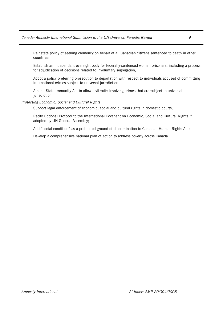Reinstate policy of seeking clemency on behalf of all Canadian citizens sentenced to death in other countries;

Establish an independent oversight body for federally-sentenced women prisoners, including a process for adjudication of decisions related to involuntary segregation;

Adopt a policy preferring prosecution to deportation with respect to individuals accused of committing international crimes subject to universal jurisdiction;

Amend State Immunity Act to allow civil suits involving crimes that are subject to universal jurisdiction.

Protecting Economic, Social and Cultural Rights

Support legal enforcement of economic, social and cultural rights in domestic courts;

Ratify Optional Protocol to the International Covenant on Economic, Social and Cultural Rights if adopted by UN General Assembly;

Add "social condition" as a prohibited ground of discrimination in Canadian Human Rights Act;

Develop a comprehensive national plan of action to address poverty across Canada.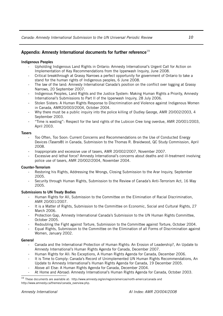#### Appendix: Amnesty International documents for further reference $^{19}$  $^{19}$  $^{19}$

#### Indigenous Peoples

- Upholding Indigenous Land Rights in Ontario: Amnesty International's Urgent Call for Action on Implementation of Key Recommendations from the Ipperwash Inquiry, June 2008.
- Critical breakthrough at Grassy Narrows a perfect opportunity for government of Ontario to take a stand for the human rights of Indigenous peoples, 6 June 2008.
- The law of the land: Amnesty International Canada's position on the conflict over logging at Grassy Narrows, 20 September 2007.
- Indigenous Peoples, Land Rights and the Justice System: Making Human Rights a Priority, Amnesty International's Submissions to Part II of the Ipperwash Inquiry, 28 July 2006.
- Stolen Sisters: A Human Rights Response to Discrimination and Violence against Indigenous Women in Canada, AMR20/003/2004, October 2004.
- Why there must be a public inquiry into the police killing of Dudley George, AMR 20/002/2003, 4 September 2003.
- "Time is wasting": Respect for the land rights of the Lubicon Cree long overdue, AMR 20/001/2003, April 2003.

#### **Tasers**

- Too Often, Too Soon: Current Concerns and Recommendations on the Use of Conducted Energy Devices (Tasers®) in Canada, Submission to the Thomas R. Braidwood, QC Study Commission, April 2008.
- Inappropriate and excessive use of tasers, AMR 20/002/2007, November 2007.
- Excessive and lethal force? Amnesty International's concerns about deaths and ill-treatment involving police use of tasers, AMR 20/002/2004, November 2004.

#### Counter-Terrorism

- Restoring his Rights, Addressing the Wrongs, Closing Submission to the Arar Inquiry, September 2005.
- Security through Human Rights, Submission to the Review of Canada's Anti-Terrorism Act, 16 May 2005.

#### Submissions to UN Treaty Bodies

- Human Rights for All, Submission to the Committee on the Elimination of Racial Discrimination, AMR 20/001/2007.
- It is a Matter of Rights, Submission to the Committee on Economic, Social and Cultural Rights, 27 March 2006.
- Protection Gap, Amnesty International Canada's Submission to the UN Human Rights Committee, October 2005.
- Redoubling the Fight against Torture, Submission to the Committee against Torture, October 2004.
- Equal Rights, Submission to the Committee on the Elimination of all Forms of Discrimination against Women, January 2002.

#### General

- Canada and the International Protection of Human Rights: An Erosion of Leadership?, An Update to Amnesty International's Human Rights Agenda for Canada, December 2007.
- Human Rights for All: No Exceptions, A Human Rights Agenda for Canada, December 2006.
- It is Time to Comply: Canada's Record of Unimplemented UN Human Rights Recommendations, An Update to Amnesty International's Human Rights Agenda for Canada, 19 December 2005.
- Above all Else: A Human Rights Agenda for Canada, December 2004.
- At Home and Abroad: Amnesty International's Human Rights Agenda for Canada, October 2003.

<span id="page-9-0"></span><sup>&</sup>lt;sup>19</sup> These documents are available at: <http://www.amnesty.org/en/region/americas/north-america/canada>and [http://www.amnesty.ca/themes/canada\\_overview.php.](http://www.amnesty.ca/themes/canada_overview.php)